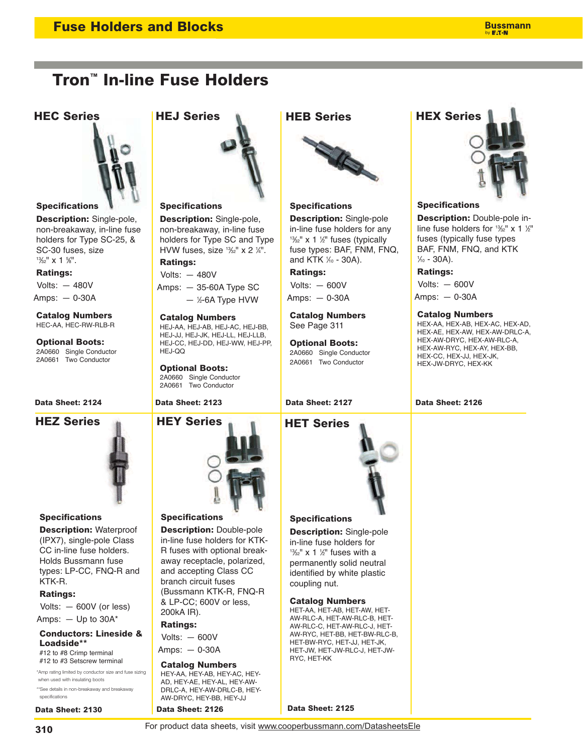# **Tron™ In-line Fuse Holders**



### **Specifications**

**Description:** Single-pole, non-breakaway, in-line fuse holders for Type SC-25, & SC-30 fuses, size  $1\frac{3}{2}$ " x 1 %".

### **Ratings:**

Volts: — 480V Amps: — 0-30A

**Catalog Numbers** HEC-AA, HEC-RW-RLB-R

**Optional Boots:** 2A0660 Single Conductor 2A0661 Two Conductor



### **Specifications**

**Description:** Waterproof (IPX7), single-pole Class CC in-line fuse holders. Holds Bussmann fuse types: LP-CC, FNQ-R and KTK-R.

### **Ratings:**

Volts: — 600V (or less)

Amps:  $-$  Up to 30A\*

**Conductors: Lineside & Loadside\*\***

#12 to #8 Crimp terminal #12 to #3 Setscrew terminal

\*Amp rating limited by conductor size and fuse sizing when used with insulating boots \*\*See details in non-breakaway and breakaway

specifications **Data Sheet: 2130**



### **Specifications**

**Description:** Single-pole, non-breakaway, in-line fuse holders for Type SC and Type HVW fuses, size  $\frac{13}{22}$ " x 2  $\frac{1}{4}$ ". **Ratings:**

Volts: — 480V

Amps: — 35-60A Type SC  $-$  ½-6A Type HVW

**Catalog Numbers** HEJ-AA, HEJ-AB, HEJ-AC, HEJ-BB, HEJ-JJ, HEJ-JK, HEJ-LL, HEJ-LLB, HEJ-CC, HEJ-DD, HEJ-WW, HEJ-PP, HEJ-QQ

**Optional Boots:** 2A0660 Single Conductor 2A0661 Two Conductor



# **Specifications**

**Description:** Double-pole in-line fuse holders for KTK-R fuses with optional breakaway receptacle, polarized, and accepting Class CC branch circuit fuses (Bussmann KTK-R, FNQ-R & LP-CC; 600V or less, 200kA IR).

**Ratings:**

Volts: — 600V

Amps: — 0-30A

### **Catalog Numbers**

HEY-AA, HEY-AB, HEY-AC, HEY-AD, HEY-AE, HEY-AL, HEY-AW-DRLC-A, HEY-AW-DRLC-B, HEY-AW-DRYC, HEY-BB, HEY-JJ

**Data Sheet: 2126**

# **HEB Series**



### **Specifications**

**Description:** Single-pole in-line fuse holders for any <sup>13⁄32</sup>" x 1 ½" fuses (typically fuse types: BAF, FNM, FNQ, and KTK 1/<sub>0</sub> - 30A).

**Ratings:**

Volts: — 600V Amps: — 0-30A

**Catalog Numbers** See Page 311

**Optional Boots:** 2A0660 Single Conductor 2A0661 Two Conductor

## **Data Sheet: 2127**



# **HEC Series HEJ Series HEX Series**

# **Specifications**

**Description:** Double-pole inline fuse holders for  $\frac{13}{2}$ " x 1  $\frac{1}{2}$ " fuses (typically fuse types BAF, FNM, FNQ, and KTK 1 ⁄10 - 30A).

# **Ratings:**

Volts: — 600V

Amps: — 0-30A

### **Catalog Numbers**

HEX-AA, HEX-AB, HEX-AC, HEX-AD, HEX-AE, HEX-AW, HEX-AW-DRLC-A, HEX-AW-DRYC, HEX-AW-RLC-A, HEX-AW-RYC, HEX-AY, HEX-BB, HEX-CC, HEX-JJ, HEX-JK, HEX-JW-DRYC, HEX-KK

### **Data Sheet: 2124 Data Sheet: 2123 Data Sheet: 2126**

**Specifications**

coupling nut.

RYC, HET-KK

**Catalog Numbers** HET-AA, HET-AB, HET-AW, HET-AW-RLC-A, HET-AW-RLC-B, HET-AW-RLC-C, HET-AW-RLC-J, HET-AW-RYC, HET-BB, HET-BW-RLC-B, HET-BW-RYC, HET-JJ, HET-JK, HET-JW, HET-JW-RLC-J, HET-JW-

**Description:** Single-pole in-line fuse holders for  $1\frac{3}{2}$ " x 1  $\frac{1}{2}$ " fuses with a permanently solid neutral identified by white plastic